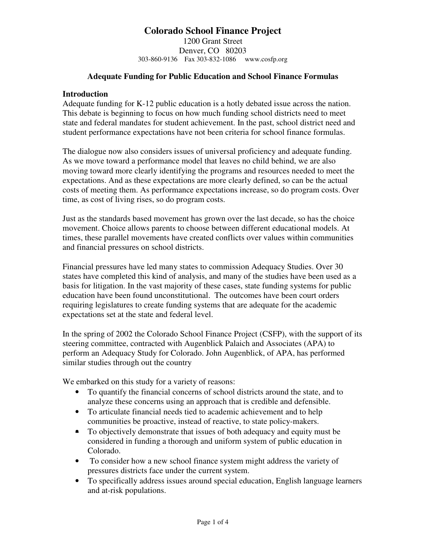1200 Grant Street Denver, CO 80203 303-860-9136 Fax 303-832-1086 www.cosfp.org

### **Adequate Funding for Public Education and School Finance Formulas**

### **Introduction**

Adequate funding for K-12 public education is a hotly debated issue across the nation. This debate is beginning to focus on how much funding school districts need to meet state and federal mandates for student achievement. In the past, school district need and student performance expectations have not been criteria for school finance formulas.

The dialogue now also considers issues of universal proficiency and adequate funding. As we move toward a performance model that leaves no child behind, we are also moving toward more clearly identifying the programs and resources needed to meet the expectations. And as these expectations are more clearly defined, so can be the actual costs of meeting them. As performance expectations increase, so do program costs. Over time, as cost of living rises, so do program costs.

Just as the standards based movement has grown over the last decade, so has the choice movement. Choice allows parents to choose between different educational models. At times, these parallel movements have created conflicts over values within communities and financial pressures on school districts.

Financial pressures have led many states to commission Adequacy Studies. Over 30 states have completed this kind of analysis, and many of the studies have been used as a basis for litigation. In the vast majority of these cases, state funding systems for public education have been found unconstitutional. The outcomes have been court orders requiring legislatures to create funding systems that are adequate for the academic expectations set at the state and federal level.

In the spring of 2002 the Colorado School Finance Project (CSFP), with the support of its steering committee, contracted with Augenblick Palaich and Associates (APA) to perform an Adequacy Study for Colorado. John Augenblick, of APA, has performed similar studies through out the country

We embarked on this study for a variety of reasons:

- To quantify the financial concerns of school districts around the state, and to analyze these concerns using an approach that is credible and defensible.
- To articulate financial needs tied to academic achievement and to help communities be proactive, instead of reactive, to state policy-makers.
- To objectively demonstrate that issues of both adequacy and equity must be considered in funding a thorough and uniform system of public education in Colorado.
- To consider how a new school finance system might address the variety of pressures districts face under the current system.
- To specifically address issues around special education, English language learners and at-risk populations.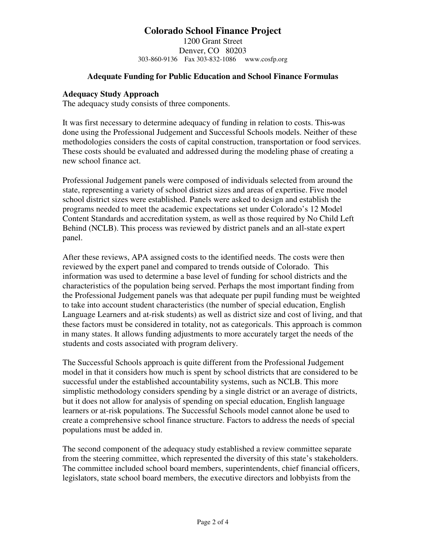1200 Grant Street Denver, CO 80203 303-860-9136 Fax 303-832-1086 www.cosfp.org

## **Adequate Funding for Public Education and School Finance Formulas**

### **Adequacy Study Approach**

The adequacy study consists of three components.

It was first necessary to determine adequacy of funding in relation to costs. This was done using the Professional Judgement and Successful Schools models. Neither of these methodologies considers the costs of capital construction, transportation or food services. These costs should be evaluated and addressed during the modeling phase of creating a new school finance act.

Professional Judgement panels were composed of individuals selected from around the state, representing a variety of school district sizes and areas of expertise. Five model school district sizes were established. Panels were asked to design and establish the programs needed to meet the academic expectations set under Colorado's 12 Model Content Standards and accreditation system, as well as those required by No Child Left Behind (NCLB). This process was reviewed by district panels and an all-state expert panel.

After these reviews, APA assigned costs to the identified needs. The costs were then reviewed by the expert panel and compared to trends outside of Colorado. This information was used to determine a base level of funding for school districts and the characteristics of the population being served. Perhaps the most important finding from the Professional Judgement panels was that adequate per pupil funding must be weighted to take into account student characteristics (the number of special education, English Language Learners and at-risk students) as well as district size and cost of living, and that these factors must be considered in totality, not as categoricals. This approach is common in many states. It allows funding adjustments to more accurately target the needs of the students and costs associated with program delivery.

The Successful Schools approach is quite different from the Professional Judgement model in that it considers how much is spent by school districts that are considered to be successful under the established accountability systems, such as NCLB. This more simplistic methodology considers spending by a single district or an average of districts, but it does not allow for analysis of spending on special education, English language learners or at-risk populations. The Successful Schools model cannot alone be used to create a comprehensive school finance structure. Factors to address the needs of special populations must be added in.

The second component of the adequacy study established a review committee separate from the steering committee, which represented the diversity of this state's stakeholders. The committee included school board members, superintendents, chief financial officers, legislators, state school board members, the executive directors and lobbyists from the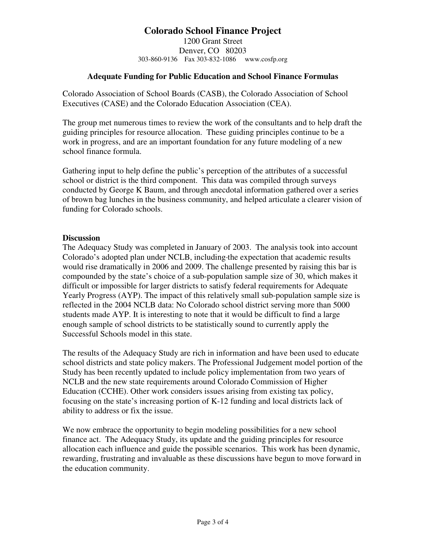1200 Grant Street Denver, CO 80203 303-860-9136 Fax 303-832-1086 www.cosfp.org

## **Adequate Funding for Public Education and School Finance Formulas**

Colorado Association of School Boards (CASB), the Colorado Association of School Executives (CASE) and the Colorado Education Association (CEA).

The group met numerous times to review the work of the consultants and to help draft the guiding principles for resource allocation. These guiding principles continue to be a work in progress, and are an important foundation for any future modeling of a new school finance formula.

Gathering input to help define the public's perception of the attributes of a successful school or district is the third component. This data was compiled through surveys conducted by George K Baum, and through anecdotal information gathered over a series of brown bag lunches in the business community, and helped articulate a clearer vision of funding for Colorado schools.

### **Discussion**

The Adequacy Study was completed in January of 2003. The analysis took into account Colorado's adopted plan under NCLB, including the expectation that academic results would rise dramatically in 2006 and 2009. The challenge presented by raising this bar is compounded by the state's choice of a sub-population sample size of 30, which makes it difficult or impossible for larger districts to satisfy federal requirements for Adequate Yearly Progress (AYP). The impact of this relatively small sub-population sample size is reflected in the 2004 NCLB data: No Colorado school district serving more than 5000 students made AYP. It is interesting to note that it would be difficult to find a large enough sample of school districts to be statistically sound to currently apply the Successful Schools model in this state.

The results of the Adequacy Study are rich in information and have been used to educate school districts and state policy makers. The Professional Judgement model portion of the Study has been recently updated to include policy implementation from two years of NCLB and the new state requirements around Colorado Commission of Higher Education (CCHE). Other work considers issues arising from existing tax policy, focusing on the state's increasing portion of K-12 funding and local districts lack of ability to address or fix the issue.

We now embrace the opportunity to begin modeling possibilities for a new school finance act. The Adequacy Study, its update and the guiding principles for resource allocation each influence and guide the possible scenarios. This work has been dynamic, rewarding, frustrating and invaluable as these discussions have begun to move forward in the education community.